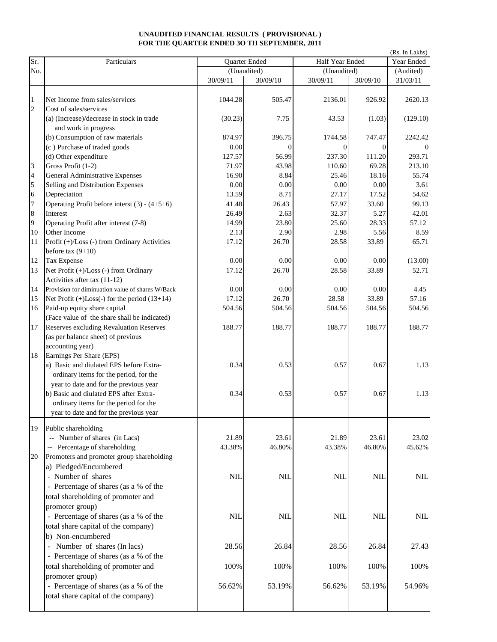## **UNAUDITED FINANCIAL RESULTS ( PROVISIONAL ) FOR THE QUARTER ENDED 3O TH SEPTEMBER, 2011**

| Sr.                            | (Rs. In Lakhs)<br>Particulars<br>Half Year Ended<br>Quarter Ended                 |          |              |             |                |                       |  |  |
|--------------------------------|-----------------------------------------------------------------------------------|----------|--------------|-------------|----------------|-----------------------|--|--|
| No.                            |                                                                                   |          | (Unaudited)  | (Unaudited) |                | Year Ended            |  |  |
|                                |                                                                                   | 30/09/11 | 30/09/10     | 30/09/11    | 30/09/10       | (Audited)<br>31/03/11 |  |  |
|                                |                                                                                   |          |              |             |                |                       |  |  |
| $\mathbf{1}$<br>$\overline{c}$ | Net Income from sales/services<br>Cost of sales/services                          | 1044.28  | 505.47       | 2136.01     | 926.92         | 2620.13               |  |  |
|                                | (a) (Increase)/decrease in stock in trade<br>and work in progress                 | (30.23)  | 7.75         | 43.53       | (1.03)         | (129.10)              |  |  |
|                                | (b) Consumption of raw materials                                                  | 874.97   | 396.75       | 1744.58     | 747.47         | 2242.42               |  |  |
|                                | (c) Purchase of traded goods                                                      | 0.00     | $\mathbf{0}$ | $\Omega$    | $\overline{0}$ |                       |  |  |
|                                | (d) Other expenditure                                                             | 127.57   | 56.99        | 237.30      | 111.20         | 293.71                |  |  |
| 3                              | Gross Profit (1-2)                                                                | 71.97    | 43.98        | 110.60      | 69.28          | 213.10                |  |  |
| 4                              | General Administrative Expenses                                                   | 16.90    | 8.84         | 25.46       | 18.16          | 55.74                 |  |  |
| 5                              | Selling and Distribution Expenses                                                 | 0.00     | 0.00         | 0.00        | 0.00           | 3.61                  |  |  |
| 6                              | Depreciation                                                                      | 13.59    | 8.71         | 27.17       | 17.52          | 54.62                 |  |  |
| 7                              | Operating Profit before interst $(3) - (4+5+6)$                                   | 41.48    | 26.43        | 57.97       | 33.60          | 99.13                 |  |  |
| 8                              | <b>Interest</b>                                                                   | 26.49    | 2.63         | 32.37       | 5.27           | 42.01                 |  |  |
| 9                              | Operating Profit after interest (7-8)                                             | 14.99    | 23.80        | 25.60       | 28.33          | 57.12                 |  |  |
| 10                             | Other Income                                                                      | 2.13     | 2.90         | 2.98        | 5.56           | 8.59                  |  |  |
| 11                             | Profit (+)/Loss (-) from Ordinary Activities<br>before tax $(9+10)$               | 17.12    | 26.70        | 28.58       | 33.89          | 65.71                 |  |  |
| 12                             | Tax Expense                                                                       | 0.00     | 0.00         | 0.00        | 0.00           | (13.00)               |  |  |
| 13                             | Net Profit (+)/Loss (-) from Ordinary<br>Activities after tax (11-12)             | 17.12    | 26.70        | 28.58       | 33.89          | 52.71                 |  |  |
| 14                             | Provision for diminuation value of shares W/Back                                  | 0.00     | 0.00         | 0.00        | 0.00           | 4.45                  |  |  |
| 15                             | Net Profit $(+)$ Loss $(-)$ for the period $(13+14)$                              | 17.12    | 26.70        | 28.58       | 33.89          | 57.16                 |  |  |
| 16                             | Paid-up equity share capital<br>(Face value of the share shall be indicated)      | 504.56   | 504.56       | 504.56      | 504.56         | 504.56                |  |  |
| 17                             | Reserves excluding Revaluation Reserves                                           | 188.77   | 188.77       | 188.77      | 188.77         | 188.77                |  |  |
|                                | (as per balance sheet) of previous                                                |          |              |             |                |                       |  |  |
|                                | accounting year)                                                                  |          |              |             |                |                       |  |  |
| 18                             | Earnings Per Share (EPS)                                                          |          |              |             |                |                       |  |  |
|                                | a) Basic and diulated EPS before Extra-<br>ordinary items for the period, for the | 0.34     | 0.53         | 0.57        | 0.67           | 1.13                  |  |  |
|                                | year to date and for the previous year                                            |          |              |             |                |                       |  |  |
|                                | b) Basic and diulated EPS after Extra-                                            | 0.34     | 0.53         | 0.57        | 0.67           | 1.13                  |  |  |
|                                | ordinary items for the period for the                                             |          |              |             |                |                       |  |  |
|                                | year to date and for the previous year                                            |          |              |             |                |                       |  |  |
| 19                             | Public shareholding                                                               |          |              |             |                |                       |  |  |
|                                | -- Number of shares (in Lacs)                                                     | 21.89    | 23.61        | 21.89       | 23.61          | 23.02                 |  |  |
|                                | -- Percentage of shareholding                                                     | 43.38%   | 46.80%       | 43.38%      | 46.80%         | 45.62%                |  |  |
| 20                             | Promoters and promoter group shareholding<br>a) Pledged/Encumbered                |          |              |             |                |                       |  |  |
|                                | - Number of shares                                                                | NII.     | NIL          | NIL         | <b>NIL</b>     | <b>NIL</b>            |  |  |
|                                | - Percentage of shares (as a % of the                                             |          |              |             |                |                       |  |  |
|                                | total shareholding of promoter and                                                |          |              |             |                |                       |  |  |
|                                | promoter group)                                                                   |          |              |             |                |                       |  |  |
|                                | - Percentage of shares (as a % of the                                             | NII.     | NII.         | NIL         | NII.           | <b>NIL</b>            |  |  |
|                                | total share capital of the company)                                               |          |              |             |                |                       |  |  |
|                                | b) Non-encumbered                                                                 |          |              |             |                |                       |  |  |
|                                | Number of shares (In lacs)                                                        | 28.56    | 26.84        | 28.56       | 26.84          | 27.43                 |  |  |
|                                | - Percentage of shares (as a % of the                                             |          |              |             |                |                       |  |  |
|                                | total shareholding of promoter and                                                | 100%     | 100%         | 100%        | 100%           | 100%                  |  |  |
|                                | promoter group)                                                                   |          |              |             |                |                       |  |  |
|                                | - Percentage of shares (as a % of the                                             | 56.62%   | 53.19%       | 56.62%      | 53.19%         | 54.96%                |  |  |
|                                | total share capital of the company)                                               |          |              |             |                |                       |  |  |
|                                |                                                                                   |          |              |             |                |                       |  |  |